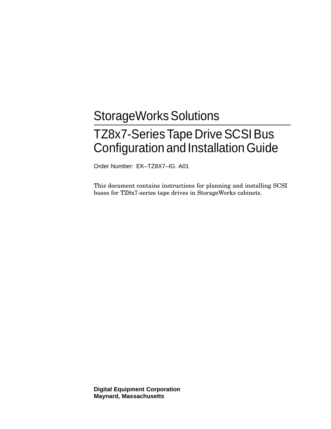# StorageWorks Solutions TZ8x7-Series Tape Drive SCSI Bus Configuration and InstallationGuide

Order Number: EK–TZ8X7–IG. A01

This document contains instructions for planning and installing SCSI buses for TZ8x7-series tape drives in StorageWorks cabinets.

**Digital Equipment Corporation Maynard, Massachusetts**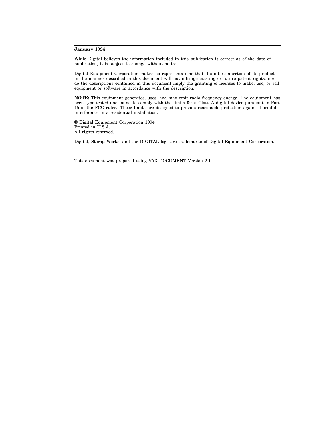#### **January 1994**

While Digital believes the information included in this publication is correct as of the date of publication, it is subject to change without notice.

Digital Equipment Corporation makes no representations that the interconnection of its products in the manner described in this document will not infringe existing or future patent rights, nor do the descriptions contained in this document imply the granting of licenses to make, use, or sell equipment or software in accordance with the description.

**NOTE:** This equipment generates, uses, and may emit radio frequency energy. The equipment has been type tested and found to comply with the limits for a Class A digital device pursuant to Part 15 of the FCC rules. These limits are designed to provide reasonable protection against harmful interference in a residential installation.

© Digital Equipment Corporation 1994 Printed in U.S.A. All rights reserved.

Digital, StorageWorks, and the DIGITAL logo are trademarks of Digital Equipment Corporation.

This document was prepared using VAX DOCUMENT Version 2.1.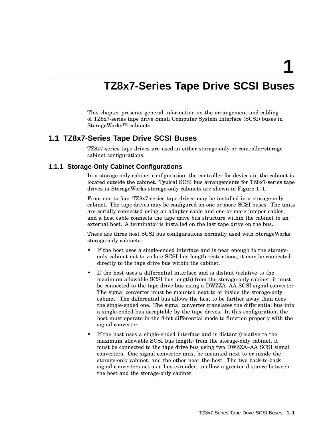**1**

## **TZ8x7-Series Tape Drive SCSI Buses**

This chapter presents general information on the arrangement and cabling of TZ8x7-series tape drive Small Computer System Interface (SCSI) buses in StorageWorks™ cabinets.

### **1.1 TZ8x7-Series Tape Drive SCSI Buses**

TZ8x7-series tape drives are used in either storage-only or controller/storage cabinet configurations.

#### **1.1.1 Storage-Only Cabinet Configurations**

In a storage-only cabinet configuration, the controller for devices in the cabinet is located outside the cabinet. Typical SCSI bus arrangements for TZ8x7-series tape drives in StorageWorks storage-only cabinets are shown in Figure 1–1.

From one to four TZ8x7-series tape drives may be installed in a storage-only cabinet. The tape drives may be configured on one or more SCSI buses. The units are serially connected using an adapter cable and one or more jumper cables, and a host cable connects the tape drive bus structure within the cabinet to an external host. A terminator is installed on the last tape drive on the bus.

There are three host SCSI bus configurations normally used with StorageWorks storage-only cabinets:

- If the host uses a single-ended interface and is near enough to the storageonly cabinet not to violate SCSI bus length restrictions, it may be connected directly to the tape drive bus within the cabinet.
- If the host uses a differential interface and is distant (relative to the maximum allowable SCSI bus length) from the storage-only cabinet, it must be connected to the tape drive bus using a DWZZA–AA SCSI signal converter. The signal converter must be mounted next to or inside the storage-only cabinet. The differential bus allows the host to be farther away than does the single-ended one. The signal converter translates the differential bus into a single-ended bus acceptable by the tape drives. In this configuration, the host must operate in the 8-bit differential mode to function properly with the signal converter.
- If the host uses a single-ended interface and is distant (relative to the maximum allowable SCSI bus length) from the storage-only cabinet, it must be connected to the tape drive bus using two DWZZA–AA SCSI signal converters. One signal converter must be mounted next to or inside the storage-only cabinet, and the other near the host. The two back-to-back signal converters act as a bus extender, to allow a greater distance between the host and the storage-only cabinet.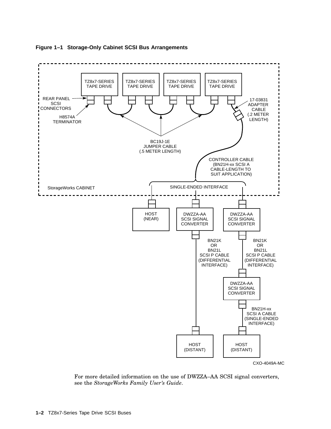

#### **Figure 1–1 Storage-Only Cabinet SCSI Bus Arrangements**

CXO-4049A-MC

For more detailed information on the use of DWZZA–AA SCSI signal converters, see the *StorageWorks Family User's Guide*.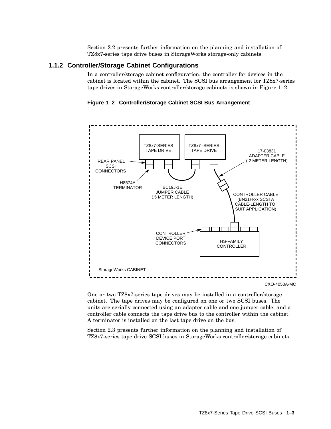Section 2.2 presents further information on the planning and installation of TZ8x7-series tape drive buses in StorageWorks storage-only cabinets.

#### **1.1.2 Controller/Storage Cabinet Configurations**

In a controller/storage cabinet configuration, the controller for devices in the cabinet is located within the cabinet. The SCSI bus arrangement for TZ8x7-series tape drives in StorageWorks controller/storage cabinets is shown in Figure 1–2.

**Figure 1–2 Controller/Storage Cabinet SCSI Bus Arrangement**



One or two TZ8x7-series tape drives may be installed in a controller/storage cabinet. The tape drives may be configured on one or two SCSI buses. The units are serially connected using an adapter cable and one jumper cable, and a controller cable connects the tape drive bus to the controller within the cabinet. A terminator is installed on the last tape drive on the bus.

Section 2.3 presents further information on the planning and installation of TZ8x7-series tape drive SCSI buses in StorageWorks controller/storage cabinets.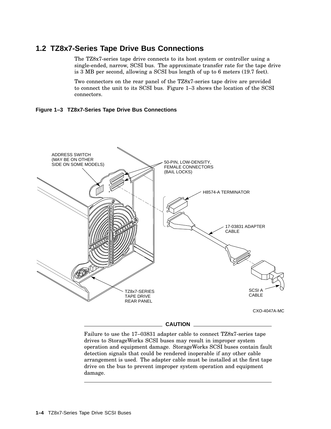## **1.2 TZ8x7-Series Tape Drive Bus Connections**

The TZ8x7-series tape drive connects to its host system or controller using a single-ended, narrow, SCSI bus. The approximate transfer rate for the tape drive is 3 MB per second, allowing a SCSI bus length of up to 6 meters (19.7 feet).

Two connectors on the rear panel of the TZ8x7-series tape drive are provided to connect the unit to its SCSI bus. Figure 1–3 shows the location of the SCSI connectors.





Failure to use the 17–03831 adapter cable to connect TZ8x7-series tape drives to StorageWorks SCSI buses may result in improper system operation and equipment damage. StorageWorks SCSI buses contain fault detection signals that could be rendered inoperable if any other cable arrangement is used. The adapter cable must be installed at the first tape drive on the bus to prevent improper system operation and equipment damage.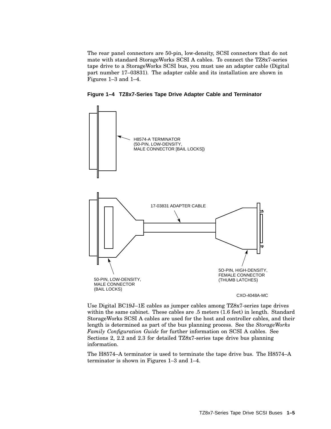The rear panel connectors are 50-pin, low-density, SCSI connectors that do not mate with standard StorageWorks SCSI A cables. To connect the TZ8x7-series tape drive to a StorageWorks SCSI bus, you must use an adapter cable (Digital part number 17–03831). The adapter cable and its installation are shown in Figures 1–3 and 1–4.



**Figure 1–4 TZ8x7-Series Tape Drive Adapter Cable and Terminator**

Use Digital BC19J–1E cables as jumper cables among TZ8x7-series tape drives within the same cabinet. These cables are .5 meters (1.6 feet) in length. Standard StorageWorks SCSI A cables are used for the host and controller cables, and their length is determined as part of the bus planning process. See the *StorageWorks Family Configuration Guide* for further information on SCSI A cables. See Sections 2, 2.2 and 2.3 for detailed TZ8x7-series tape drive bus planning information.

The H8574–A terminator is used to terminate the tape drive bus. The H8574–A terminator is shown in Figures 1–3 and 1–4.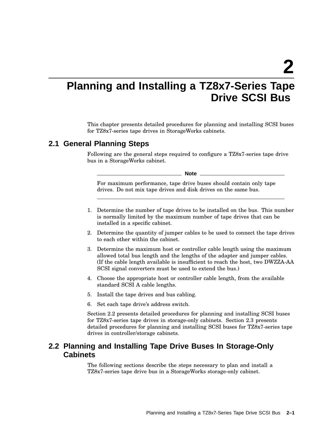**2**

## **Planning and Installing a TZ8x7-Series Tape Drive SCSI Bus**

This chapter presents detailed procedures for planning and installing SCSI buses for TZ8x7-series tape drives in StorageWorks cabinets.

## **2.1 General Planning Steps**

Following are the general steps required to configure a TZ8x7-series tape drive bus in a StorageWorks cabinet.

**Note**

For maximum performance, tape drive buses should contain only tape drives. Do not mix tape drives and disk drives on the same bus.

- 1. Determine the number of tape drives to be installed on the bus. This number is normally limited by the maximum number of tape drives that can be installed in a specific cabinet.
- 2. Determine the quantity of jumper cables to be used to connect the tape drives to each other within the cabinet.
- 3. Determine the maximum host or controller cable length using the maximum allowed total bus length and the lengths of the adapter and jumper cables. (If the cable length available is insufficient to reach the host, two DWZZA-AA SCSI signal converters must be used to extend the bus.)
- 4. Choose the appropriate host or controller cable length, from the available standard SCSI A cable lengths.
- 5. Install the tape drives and bus cabling.
- 6. Set each tape drive's address switch.

Section 2.2 presents detailed procedures for planning and installing SCSI buses for TZ8x7-series tape drives in storage-only cabinets. Section 2.3 presents detailed procedures for planning and installing SCSI buses for TZ8x7-series tape drives in controller/storage cabinets.

## **2.2 Planning and Installing Tape Drive Buses In Storage-Only Cabinets**

The following sections describe the steps necessary to plan and install a TZ8x7-series tape drive bus in a StorageWorks storage-only cabinet.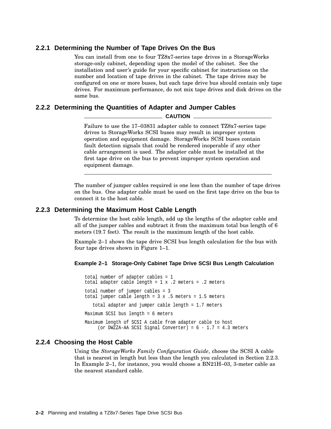#### **2.2.1 Determining the Number of Tape Drives On the Bus**

You can install from one to four TZ8x7-series tape drives in a StorageWorks storage-only cabinet, depending upon the model of the cabinet. See the installation and user's guide for your specific cabinet for instructions on the number and location of tape drives in the cabinet. The tape drives may be configured on one or more buses, but each tape drive bus should contain only tape drives. For maximum performance, do not mix tape drives and disk drives on the same bus.

## **2.2.2 Determining the Quantities of Adapter and Jumper Cables**

**CAUTION**

Failure to use the 17–03831 adapter cable to connect TZ8x7-series tape drives to StorageWorks SCSI buses may result in improper system operation and equipment damage. StorageWorks SCSI buses contain fault detection signals that could be rendered inoperable if any other cable arrangement is used. The adapter cable must be installed at the first tape drive on the bus to prevent improper system operation and equipment damage.

The number of jumper cables required is one less than the number of tape drives on the bus. One adapter cable must be used on the first tape drive on the bus to connect it to the host cable.

#### **2.2.3 Determining the Maximum Host Cable Length**

To determine the host cable length, add up the lengths of the adapter cable and all of the jumper cables and subtract it from the maximum total bus length of 6 meters (19.7 feet). The result is the maximum length of the host cable.

Example 2–1 shows the tape drive SCSI bus length calculation for the bus with four tape drives shown in Figure 1–1.

#### **Example 2–1 Storage-Only Cabinet Tape Drive SCSI Bus Length Calculation**

total number of adapter cables = 1 total adapter cable length = 1 x .2 meters = .2 meters total number of jumper cables = 3 total jumper cable length =  $3 \times .5$  meters = 1.5 meters total adapter and jumper cable length = 1.7 meters Maximum SCSI bus length = 6 meters Maximum length of SCSI A cable from adapter cable to host (or DWZZA-AA SCSI Signal Converter) =  $6 - 1.7 = 4.3$  meters

#### **2.2.4 Choosing the Host Cable**

Using the *StorageWorks Family Configuration Guide*, choose the SCSI A cable that is nearest in length but less than the length you calculated in Section 2.2.3. In Example 2–1, for instance, you would choose a BN21H–03, 3-meter cable as the nearest standard cable.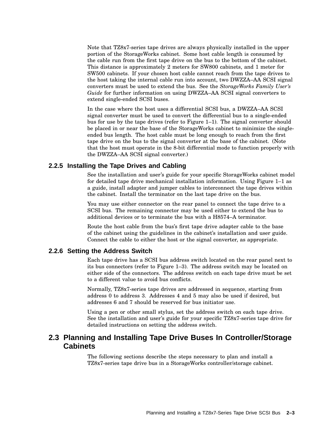Note that TZ8x7-series tape drives are always physically installed in the upper portion of the StorageWorks cabinet. Some host cable length is consumed by the cable run from the first tape drive on the bus to the bottom of the cabinet. This distance is approximately 2 meters for SW800 cabinets, and 1 meter for SW500 cabinets. If your chosen host cable cannot reach from the tape drives to the host taking the internal cable run into account, two DWZZA–AA SCSI signal converters must be used to extend the bus. See the *StorageWorks Family User's Guide* for further information on using DWZZA–AA SCSI signal converters to extend single-ended SCSI buses.

In the case where the host uses a differential SCSI bus, a DWZZA–AA SCSI signal converter must be used to convert the differential bus to a single-ended bus for use by the tape drives (refer to Figure 1–1). The signal converter should be placed in or near the base of the StorageWorks cabinet to minimize the singleended bus length. The host cable must be long enough to reach from the first tape drive on the bus to the signal converter at the base of the cabinet. (Note that the host must operate in the 8-bit differential mode to function properly with the DWZZA–AA SCSI signal converter.)

#### **2.2.5 Installing the Tape Drives and Cabling**

See the installation and user's guide for your specific StorageWorks cabinet model for detailed tape drive mechanical installation information. Using Figure 1–1 as a guide, install adapter and jumper cables to interconnect the tape drives within the cabinet. Install the terminator on the last tape drive on the bus.

You may use either connector on the rear panel to connect the tape drive to a SCSI bus. The remaining connector may be used either to extend the bus to additional devices or to terminate the bus with a H8574–A terminator.

Route the host cable from the bus's first tape drive adapter cable to the base of the cabinet using the guidelines in the cabinet's installation and user guide. Connect the cable to either the host or the signal converter, as appropriate.

#### **2.2.6 Setting the Address Switch**

Each tape drive has a SCSI bus address switch located on the rear panel next to its bus connectors (refer to Figure 1–3). The address switch may be located on either side of the connectors. The address switch on each tape drive must be set to a different value to avoid bus conflicts.

Normally, TZ8x7-series tape drives are addressed in sequence, starting from address 0 to address 3. Addresses 4 and 5 may also be used if desired, but addresses 6 and 7 should be reserved for bus initiator use.

Using a pen or other small stylus, set the address switch on each tape drive. See the installation and user's guide for your specific TZ8x7-series tape drive for detailed instructions on setting the address switch.

### **2.3 Planning and Installing Tape Drive Buses In Controller/Storage Cabinets**

The following sections describe the steps necessary to plan and install a TZ8x7-series tape drive bus in a StorageWorks controller/storage cabinet.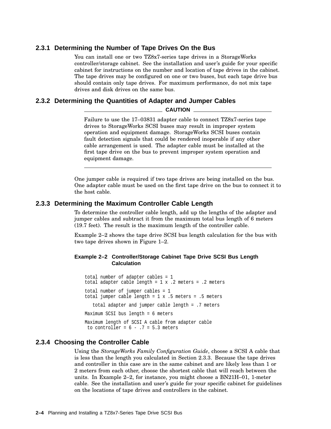#### **2.3.1 Determining the Number of Tape Drives On the Bus**

You can install one or two TZ8x7-series tape drives in a StorageWorks controller/storage cabinet. See the installation and user's guide for your specific cabinet for instructions on the number and location of tape drives in the cabinet. The tape drives may be configured on one or two buses, but each tape drive bus should contain only tape drives. For maximum performance, do not mix tape drives and disk drives on the same bus.

#### **2.3.2 Determining the Quantities of Adapter and Jumper Cables**

#### **CAUTION**

Failure to use the 17–03831 adapter cable to connect TZ8x7-series tape drives to StorageWorks SCSI buses may result in improper system operation and equipment damage. StorageWorks SCSI buses contain fault detection signals that could be rendered inoperable if any other cable arrangement is used. The adapter cable must be installed at the first tape drive on the bus to prevent improper system operation and equipment damage.

One jumper cable is required if two tape drives are being installed on the bus. One adapter cable must be used on the first tape drive on the bus to connect it to the host cable.

#### **2.3.3 Determining the Maximum Controller Cable Length**

To determine the controller cable length, add up the lengths of the adapter and jumper cables and subtract it from the maximum total bus length of 6 meters (19.7 feet). The result is the maximum length of the controller cable.

Example 2–2 shows the tape drive SCSI bus length calculation for the bus with two tape drives shown in Figure 1–2.

#### **Example 2–2 Controller/Storage Cabinet Tape Drive SCSI Bus Length Calculation**

total number of adapter cables = 1 total adapter cable length = 1 x .2 meters = .2 meters total number of jumper cables = 1 total jumper cable length =  $1 \times .5$  meters = .5 meters total adapter and jumper cable length = .7 meters Maximum SCSI bus length = 6 meters Maximum length of SCSI A cable from adapter cable to controller =  $6 - .7 = 5.3$  meters

#### **2.3.4 Choosing the Controller Cable**

Using the *StorageWorks Family Configuration Guide*, choose a SCSI A cable that is less than the length you calculated in Section 2.3.3. Because the tape drives and controller in this case are in the same cabinet and are likely less than 1 or 2 meters from each other, choose the shortest cable that will reach between the units. In Example 2–2, for instance, you might choose a BN21H–01, 1-meter cable. See the installation and user's guide for your specific cabinet for guidelines on the locations of tape drives and controllers in the cabinet.